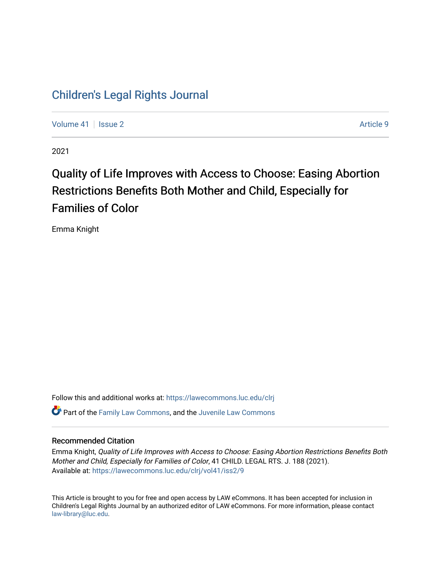## [Children's Legal Rights Journal](https://lawecommons.luc.edu/clrj)

[Volume 41](https://lawecommons.luc.edu/clrj/vol41) | [Issue 2](https://lawecommons.luc.edu/clrj/vol41/iss2) Article 9

2021

# Quality of Life Improves with Access to Choose: Easing Abortion Restrictions Benefits Both Mother and Child, Especially for Families of Color

Emma Knight

Follow this and additional works at: [https://lawecommons.luc.edu/clrj](https://lawecommons.luc.edu/clrj?utm_source=lawecommons.luc.edu%2Fclrj%2Fvol41%2Fiss2%2F9&utm_medium=PDF&utm_campaign=PDFCoverPages)

**C** Part of the [Family Law Commons,](http://network.bepress.com/hgg/discipline/602?utm_source=lawecommons.luc.edu%2Fclrj%2Fvol41%2Fiss2%2F9&utm_medium=PDF&utm_campaign=PDFCoverPages) and the Juvenile Law Commons

#### Recommended Citation

Emma Knight, Quality of Life Improves with Access to Choose: Easing Abortion Restrictions Benefits Both Mother and Child, Especially for Families of Color, 41 CHILD. LEGAL RTS. J. 188 (2021). Available at: [https://lawecommons.luc.edu/clrj/vol41/iss2/9](https://lawecommons.luc.edu/clrj/vol41/iss2/9?utm_source=lawecommons.luc.edu%2Fclrj%2Fvol41%2Fiss2%2F9&utm_medium=PDF&utm_campaign=PDFCoverPages) 

This Article is brought to you for free and open access by LAW eCommons. It has been accepted for inclusion in Children's Legal Rights Journal by an authorized editor of LAW eCommons. For more information, please contact [law-library@luc.edu](mailto:law-library@luc.edu).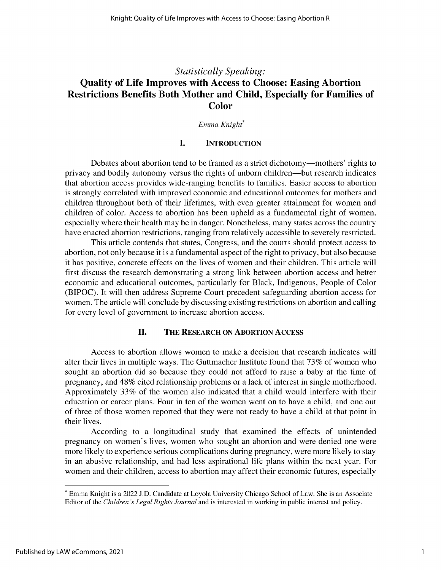### *Statistically Speaking:* **Quality of Life Improves with Access to Choose: Easing Abortion Restrictions Benefits Both Mother and Child, Especially for Families of Color**

*Emma Knight\**

#### **I. INTRODUCTION**

Debates about abortion tend to be framed as a strict dichotomy—mothers' rights to privacy and bodily autonomy versus the rights of unborn children—but research indicates that abortion access provides wide-ranging benefits to families. Easier access to abortion is strongly correlated with improved economic and educational outcomes for mothers and children throughout both of their lifetimes, with even greater attainment for women and children of color. Access to abortion has been upheld as a fundamental right of women, especially where their health may be in danger. Nonetheless, many states across the country have enacted abortion restrictions, ranging from relatively accessible to severely restricted.

This article contends that states, Congress, and the courts should protect access to abortion, not only because it is a fundamental aspect of the right to privacy, but also because it has positive, concrete effects on the lives of women and their children. This article will first discuss the research demonstrating a strong link between abortion access and better economic and educational outcomes, particularly for Black, Indigenous, People of Color (BIPOC). It will then address Supreme Court precedent safeguarding abortion access for women. The article will conclude by discussing existing restrictions on abortion and calling for every level of government to increase abortion access.

#### **II. THE RESEARCH** ON **ABORTION ACCESS**

Access to abortion allows women to make a decision that research indicates will alter their lives in multiple ways. The Guttmacher Institute found that 73% of women who sought an abortion did so because they could not afford to raise a baby at the time of pregnancy, and 48% cited relationship problems or a lack of interest in single motherhood. Approximately 33% of the women also indicated that a child would interfere with their education or career plans. Four in ten of the women went on to have a child, and one out of three of those women reported that they were not ready to have a child at that point in their lives.

According to a longitudinal study that examined the effects of unintended pregnancy on women's lives, women who sought an abortion and were denied one were more likely to experience serious complications during pregnancy, were more likely to stay in an abusive relationship, and had less aspirational life plans within the next year. For women and their children, access to abortion may affect their economic futures, especially

<sup>\*</sup> Emma Knight is a 2022 **J.D.** Candidate at Loyola University Chicago School of Law. She is an Associate Editor of the *Children 's Legal Rights Journal* and is interested in working in public interest and policy.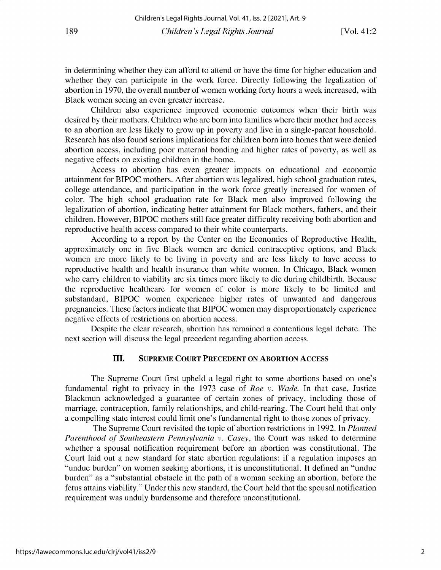in determining whether they can afford to attend or have the time for higher education and whether they can participate in the work force. Directly following the legalization of abortion in 1970, the overall number of women working forty hours a week increased, with Black women seeing an even greater increase.

Children also experience improved economic outcomes when their birth was desired by their mothers. Children who are born into families where their mother had access to an abortion are less likely to grow up in poverty and live in a single-parent household. Research has also found serious implications for children born into homes that were denied abortion access, including poor maternal bonding and higher rates of poverty, as well as negative effects on existing children in the home.

Access to abortion has even greater impacts on educational and economic attainment for BIPOC mothers. After abortion was legalized, high school graduation rates, college attendance, and participation in the work force greatly increased for women of color. The high school graduation rate for Black men also improved following the legalization of abortion, indicating better attainment for Black mothers, fathers, and their children. However, BIPOC mothers still face greater difficulty receiving both abortion and reproductive health access compared to their white counterparts.

According to a report by the Center on the Economics of Reproductive Health, approximately one in five Black women are denied contraceptive options, and Black women are more likely to be living in poverty and are less likely to have access to reproductive health and health insurance than white women. In Chicago, Black women who carry children to viability are six times more likely to die during childbirth. Because the reproductive healthcare for women of color is more likely to be limited and substandard, BIPOC women experience higher rates of unwanted and dangerous pregnancies. These factors indicate that BIPOC women may disproportionately experience negative effects of restrictions on abortion access.

Despite the clear research, abortion has remained a contentious legal debate. The next section will discuss the legal precedent regarding abortion access.

#### **III. SUPREME COURT PRECEDENT ON ABORTION ACCESS**

The Supreme Court first upheld a legal right to some abortions based on one's fundamental right to privacy in the 1973 case of *Roe v. Wade.* In that case, Justice Blackmun acknowledged a guarantee of certain zones of privacy, including those of marriage, contraception, family relationships, and child-rearing. The Court held that only a compelling state interest could limit one's fundamental right to those zones of privacy.

The Supreme Court revisited the topic of abortion restrictions in 1992. In *Planned Parenthood of Southeastern Pennsylvania v. Casey,* the Court was asked to determine whether a spousal notification requirement before an abortion was constitutional. The Court laid out a new standard for state abortion regulations: if a regulation imposes an "undue burden" on women seeking abortions, it is unconstitutional. It defined an "undue burden" as a "substantial obstacle in the path of a woman seeking an abortion, before the fetus attains viability." Under this new standard, the Court held that the spousal notification requirement was unduly burdensome and therefore unconstitutional.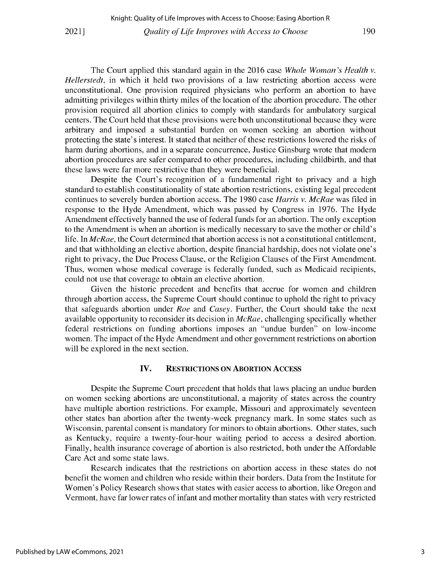The Court applied this standard again in the 2016 case *Whole Woman's Health v. Hellerstedt,* in which it held two provisions of a law restricting abortion access were **unconstitutional. One provision required physicians who perform an abortion to have** admitting privileges within thirty miles of the location of the abortion procedure. The other **provision required all abortion clinics to comply with standards for ambulatory surgical** centers. The Court held that these provisions were both unconstitutional because they were **arbitrary and imposed a substantial burden on women seeking an abortion without protecting the state's interest. It stated that neither of these restrictions lowered the risks of harm during abortions, and in a separate concurrence, Justice Ginsburg wrote that modern abortion procedures are safer compared to other procedures, including childbirth, and that these laws were far more restrictive than they were beneficial.**

**Despite the Court's recognition of a fundamental right to privacy and a high standard to establish constitutionality of state abortion restrictions, existing legal precedent** continues to severely burden abortion access. The 1980 case *Harris v. McRae* was filed in response to the Hyde Amendment, which was passed by Congress in 1976. The Hyde Amendment effectively banned the use of federal funds for an abortion. The only exception **to the Amendment is when an abortion is medically necessary to save the mother or child's life. In** *McRae,* **the Court determined that abortion access is not a constitutional entitlement, and that withholding an elective abortion, despite financial hardship, does not violate one's** right to privacy, the Due Process Clause, or the Religion Clauses of the First Amendment. **Thus, women whose medical coverage is federally funded, such as Medicaid recipients, could not use that coverage to obtain an elective abortion.**

**Given the historic precedent and benefits that accrue for women and children through abortion access, the Supreme Court should continue to uphold the right to privacy** that safeguards abortion under *Roe* and *Casey.* Further, the Court should take the next **available opportunity to reconsider its decision in** *McRae,* **challenging specifically whether federal restrictions on funding abortions imposes an "undue burden" on low-income women. The impact of the Hyde Amendment and other government restrictions on abortion will be explored in the next section.**

#### **IV. RESTRICTIONS ON ABORTION ACCESS**

**Despite the Supreme Court precedent that holds that laws placing an undue burden on women seeking abortions are unconstitutional, a majority of states across the country have multiple abortion restrictions. For example, Missouri and approximately seventeen other states ban abortion after the twenty-week pregnancy mark. In some states such as Wisconsin, parental consent is mandatory for minors to obtain abortions. Other states, such as Kentucky, require a twenty-four-hour waiting period to access a desired abortion. Finally, health insurance coverage of abortion is also restricted, both under the Affordable** Care Act **and some state laws.**

**Research indicates that the restrictions on abortion access in these states do not benefit the women and children who reside within their borders. Data from the Institute for Women's Policy Research shows that states with easier access to abortion, like Oregon and** Vermont, have far lower rates of infant and mother mortality than states with very restricted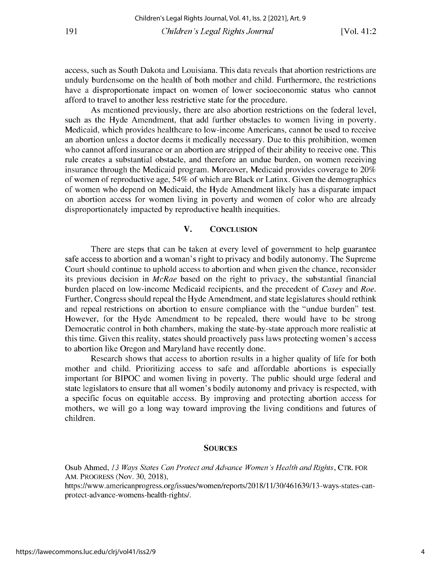access, such as South Dakota and Louisiana. This data reveals that abortion restrictions are unduly burdensome on the health of both mother and child. Furthermore, the restrictions have a disproportionate impact on women of lower socioeconomic status who cannot afford to travel to another less restrictive state for the procedure.

As mentioned previously, there are also abortion restrictions on the federal level, such as the Hyde Amendment, that add further obstacles to women living in poverty. Medicaid, which provides healthcare to low-income Americans, cannot be used to receive an abortion unless a doctor deems it medically necessary. Due to this prohibition, women who cannot afford insurance or an abortion are stripped of their ability to receive one. This rule creates a substantial obstacle, and therefore an undue burden, on women receiving insurance through the Medicaid program. Moreover, Medicaid provides coverage to 20% of women of reproductive age, *54%* of which are Black or Latinx. Given the demographics of women who depend on Medicaid, the Hyde Amendment likely has a disparate impact on abortion access for women living in poverty and women of color who are already disproportionately impacted by reproductive health inequities.

#### V. CONCLUSION

There are steps that can be taken at every level of government to help guarantee safe access to abortion and a woman's right to privacy and bodily autonomy. The Supreme Court should continue to uphold access to abortion and when given the chance, reconsider its previous decision in *McRae* based on the right to privacy, the substantial financial burden placed on low-income Medicaid recipients, and the precedent of *Casey* and *Roe.* Further, Congress should repeal the Hyde Amendment, and state legislatures should rethink and repeal restrictions on abortion to ensure compliance with the "undue burden" test. However, for the Hyde Amendment to be repealed, there would have to be strong Democratic control in both chambers, making the state-by-state approach more realistic at this time. Given this reality, states should proactively pass laws protecting women's access to abortion like Oregon and Maryland have recently done.

Research shows that access to abortion results in a higher quality of life for both mother and child. Prioritizing access to safe and affordable abortions is especially important for BIPOC and women living in poverty. The public should urge federal and state legislators to ensure that all women's bodily autonomy and privacy is respected, with a specific focus on equitable access. By improving and protecting abortion access for mothers, we will go a long way toward improving the living conditions and futures of children.

#### **SOURCES**

Osub Ahmed, *13 Ways States Can Protect and Advance Women's Health and Rights,* **CTR. FOR** AM. PROGRESS (Nov. 30, 2018),

https://www. americanprogress.org/issues/women/reports/2018/11/30/461639/13-ways-states-canprotect-advance-womens-health-rights/.